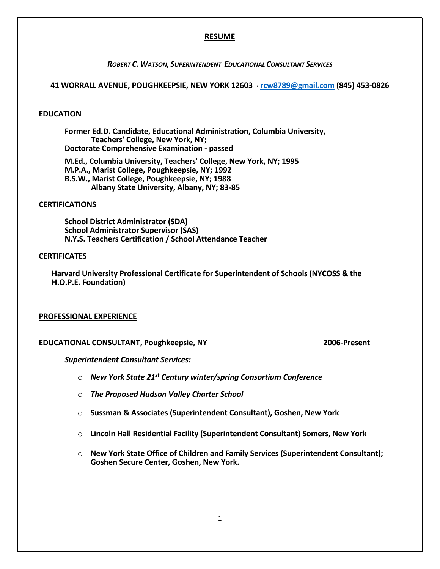### **RESUME**

### *ROBERT C. WATSON, SUPERINTENDENT EDUCATIONAL CONSULTANT SERVICES*

# **41 WORRALL AVENUE, POUGHKEEPSIE, NEW YORK 12603 [rcw8789@gmail.com](mailto:rcw8789@gmail.com) (845) 453-0826**

# **EDUCATION**

l

**Former Ed.D. Candidate, Educational Administration, Columbia University, Teachers' College, New York, NY; Doctorate Comprehensive Examination - passed** 

**M.Ed., Columbia University, Teachers' College, New York, NY; 1995 M.P.A., Marist College, Poughkeepsie, NY; 1992 B.S.W., Marist College, Poughkeepsie, NY; 1988 Albany State University, Albany, NY; 83-85**

### **CERTIFICATIONS**

**School District Administrator (SDA) School Administrator Supervisor (SAS) N.Y.S. Teachers Certification / School Attendance Teacher**

# **CERTIFICATES**

**Harvard University Professional Certificate for Superintendent of Schools (NYCOSS & the H.O.P.E. Foundation)**

### **PROFESSIONAL EXPERIENCE**

# **EDUCATIONAL CONSULTANT, Poughkeepsie, NY 2006-Present**

*Superintendent Consultant Services:*

- o *New York State 21st Century winter/spring Consortium Conference*
- o *The Proposed Hudson Valley Charter School*
- o **Sussman & Associates (Superintendent Consultant), Goshen, New York**
- o **Lincoln Hall Residential Facility (Superintendent Consultant) Somers, New York**
- o **New York State Office of Children and Family Services (Superintendent Consultant); Goshen Secure Center, Goshen, New York.**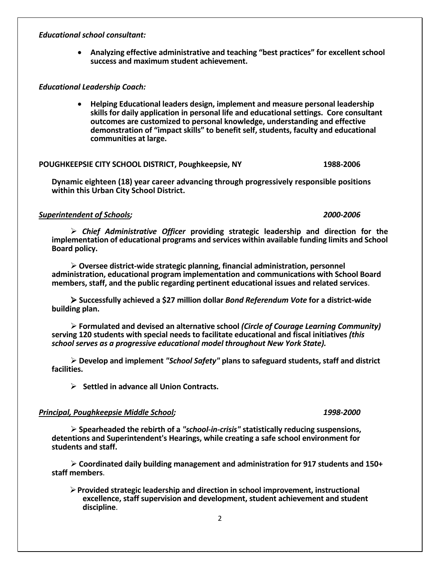# *Educational school consultant:*

 **Analyzing effective administrative and teaching "best practices" for excellent school success and maximum student achievement.** 

# *Educational Leadership Coach:*

 **Helping Educational leaders design, implement and measure personal leadership skills for daily application in personal life and educational settings. Core consultant outcomes are customized to personal knowledge, understanding and effective demonstration of "impact skills" to benefit self, students, faculty and educational communities at large.** 

# **POUGHKEEPSIE CITY SCHOOL DISTRICT, Poughkeepsie, NY 1988-2006**

**Dynamic eighteen (18) year career advancing through progressively responsible positions within this Urban City School District.**

# *Superintendent of Schools; 2000-2006*

 *Chief Administrative Officer* **providing strategic leadership and direction for the implementation of educational programs and services within available funding limits and School Board policy.**

 **Oversee district-wide strategic planning, financial administration, personnel administration, educational program implementation and communications with School Board members, staff, and the public regarding pertinent educational issues and related services**.

 **Successfully achieved a \$27 million dollar** *Bond Referendum Vote* **for a district-wide building plan.**

 **Formulated and devised an alternative school** *(Circle of Courage Learning Community)*  **serving 120 students with special needs to facilitate educational and fiscal initiatives** *(this school serves as a progressive educational model throughout New York State).*

 **Develop and implement** *"School Safety"* **plans to safeguard students, staff and district facilities.**

**Settled in advance all Union Contracts.**

# *Principal, Poughkeepsie Middle School; 1998-2000*

 **Spearheaded the rebirth of a** *"school-in-crisis"* **statistically reducing suspensions, detentions and Superintendent's Hearings, while creating a safe school environment for students and staff.**

 **Coordinated daily building management and administration for 917 students and 150+ staff members**.

**Provided strategic leadership and direction in school improvement, instructional excellence, staff supervision and development, student achievement and student discipline**.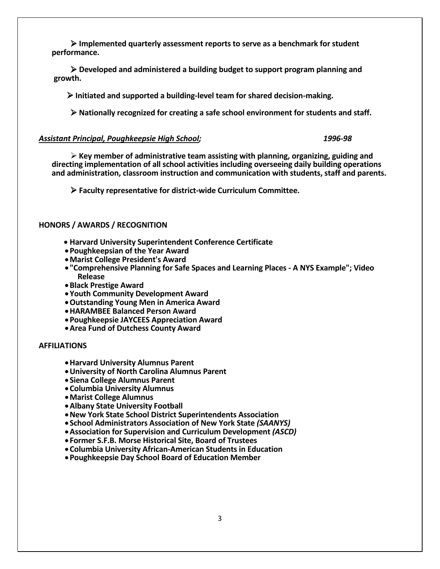**Implemented quarterly assessment reports to serve as a benchmark for student performance.**

 **Developed and administered a building budget to support program planning and growth.** 

 **Initiated and supported a building-level team for shared decision-making.**

 **Nationally recognized for creating a safe school environment for students and staff.**

### *Assistant Principal, Poughkeepsie High School; 1996-98*

 **Key member of administrative team assisting with planning, organizing, guiding and directing implementation of all school activities including overseeing daily building operations and administration, classroom instruction and communication with students, staff and parents.**

 **Faculty representative for district-wide Curriculum Committee.**

# **HONORS / AWARDS / RECOGNITION**

- **Harvard University Superintendent Conference Certificate**
- **Poughkeepsian of the Year Award**
- **Marist College President's Award**
- **"Comprehensive Planning for Safe Spaces and Learning Places - A NYS Example"; Video Release**
- **Black Prestige Award**
- **Youth Community Development Award**
- **Outstanding Young Men in America Award**
- **HARAMBEE Balanced Person Award**
- **Poughkeepsie JAYCEES Appreciation Award**
- **Area Fund of Dutchess County Award**

### **AFFILIATIONS**

- **Harvard University Alumnus Parent**
- **University of North Carolina Alumnus Parent**
- **Siena College Alumnus Parent**
- **Columbia University Alumnus**
- **Marist College Alumnus**
- **Albany State University Football**
- **New York State School District Superintendents Association**
- **School Administrators Association of New York State** *(SAANYS)*
- **Association for Supervision and Curriculum Development** *(ASCD)*
- **Former S.F.B. Morse Historical Site, Board of Trustees**
- **Columbia University African-American Students in Education**
- **Poughkeepsie Day School Board of Education Member**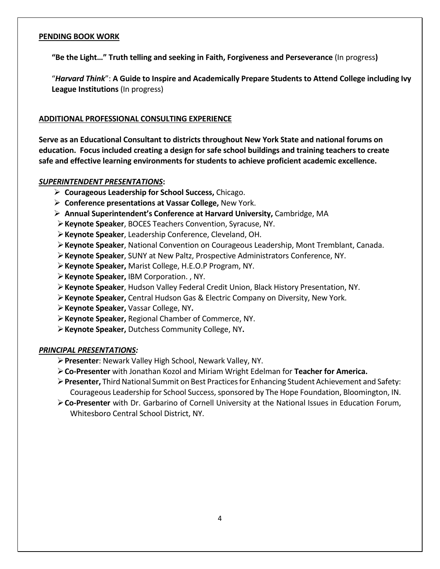# **PENDING BOOK WORK**

**"Be the Light…" Truth telling and seeking in Faith, Forgiveness and Perseverance** (In progress**)**

"*Harvard Think*": **A Guide to Inspire and Academically Prepare Students to Attend College including Ivy League Institutions** (In progress)

# **ADDITIONAL PROFESSIONAL CONSULTING EXPERIENCE**

**Serve as an Educational Consultant to districts throughout New York State and national forums on education. Focus included creating a design for safe school buildings and training teachers to create safe and effective learning environments for students to achieve proficient academic excellence.**

# *SUPERINTENDENT PRESENTATIONS***:**

- **Courageous Leadership for School Success,** Chicago.
- **Conference presentations at Vassar College,** New York.
- **Annual Superintendent's Conference at Harvard University,** Cambridge, MA
- **Keynote Speaker**, BOCES Teachers Convention, Syracuse, NY.
- **Keynote Speaker**, Leadership Conference, Cleveland, OH.
- **Keynote Speaker**, National Convention on Courageous Leadership, Mont Tremblant, Canada.
- **Keynote Speaker**, SUNY at New Paltz, Prospective Administrators Conference, NY.
- **Keynote Speaker,** Marist College, H.E.O.P Program, NY.
- **Keynote Speaker,** IBM Corporation. , NY.
- **Keynote Speaker**, Hudson Valley Federal Credit Union, Black History Presentation, NY.
- **Keynote Speaker,** Central Hudson Gas & Electric Company on Diversity, New York.
- **Keynote Speaker,** Vassar College, NY**.**
- **Keynote Speaker,** Regional Chamber of Commerce, NY.
- **Keynote Speaker,** Dutchess Community College, NY**.**

# *PRINCIPAL PRESENTATIONS:*

- **Presenter**: Newark Valley High School, Newark Valley, NY.
- **Co-Presenter** with Jonathan Kozol and Miriam Wright Edelman for **Teacher for America.**
- **Presenter,** Third National Summit on Best Practices for Enhancing Student Achievement and Safety: Courageous Leadership for School Success, sponsored by The Hope Foundation, Bloomington, IN.
- **Co-Presenter** with Dr. Garbarino of Cornell University at the National Issues in Education Forum, Whitesboro Central School District, NY.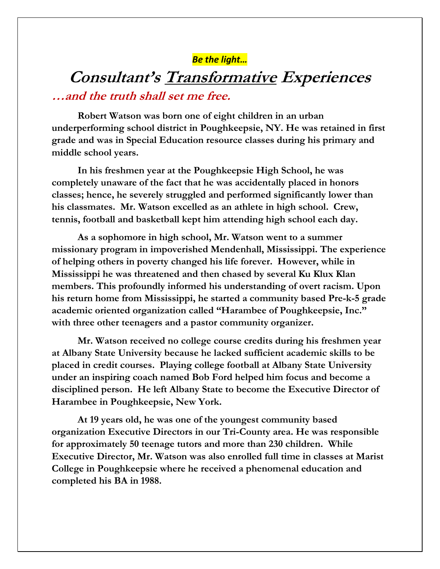# *Be the light…*

# **Consultant's Transformative Experiences …and the truth shall set me free.**

**Robert Watson was born one of eight children in an urban underperforming school district in Poughkeepsie, NY. He was retained in first grade and was in Special Education resource classes during his primary and middle school years.**

**In his freshmen year at the Poughkeepsie High School, he was completely unaware of the fact that he was accidentally placed in honors classes; hence, he severely struggled and performed significantly lower than his classmates. Mr. Watson excelled as an athlete in high school. Crew, tennis, football and basketball kept him attending high school each day.**

**As a sophomore in high school, Mr. Watson went to a summer missionary program in impoverished Mendenhall, Mississippi. The experience of helping others in poverty changed his life forever. However, while in Mississippi he was threatened and then chased by several Ku Klux Klan members. This profoundly informed his understanding of overt racism. Upon his return home from Mississippi, he started a community based Pre-k-5 grade academic oriented organization called "Harambee of Poughkeepsie, Inc." with three other teenagers and a pastor community organizer.**

**Mr. Watson received no college course credits during his freshmen year at Albany State University because he lacked sufficient academic skills to be placed in credit courses. Playing college football at Albany State University under an inspiring coach named Bob Ford helped him focus and become a disciplined person. He left Albany State to become the Executive Director of Harambee in Poughkeepsie, New York.**

**At 19 years old, he was one of the youngest community based organization Executive Directors in our Tri-County area. He was responsible for approximately 50 teenage tutors and more than 230 children. While Executive Director, Mr. Watson was also enrolled full time in classes at Marist College in Poughkeepsie where he received a phenomenal education and completed his BA in 1988.**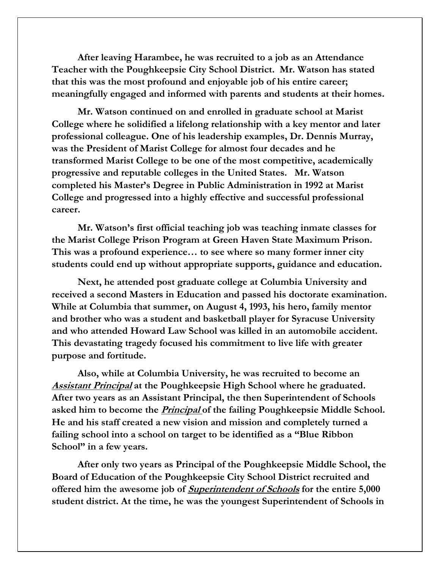**After leaving Harambee, he was recruited to a job as an Attendance Teacher with the Poughkeepsie City School District. Mr. Watson has stated that this was the most profound and enjoyable job of his entire career; meaningfully engaged and informed with parents and students at their homes.** 

**Mr. Watson continued on and enrolled in graduate school at Marist College where he solidified a lifelong relationship with a key mentor and later professional colleague. One of his leadership examples, Dr. Dennis Murray, was the President of Marist College for almost four decades and he transformed Marist College to be one of the most competitive, academically progressive and reputable colleges in the United States. Mr. Watson completed his Master's Degree in Public Administration in 1992 at Marist College and progressed into a highly effective and successful professional career.** 

**Mr. Watson's first official teaching job was teaching inmate classes for the Marist College Prison Program at Green Haven State Maximum Prison. This was a profound experience… to see where so many former inner city students could end up without appropriate supports, guidance and education.**

**Next, he attended post graduate college at Columbia University and received a second Masters in Education and passed his doctorate examination. While at Columbia that summer, on August 4, 1993, his hero, family mentor and brother who was a student and basketball player for Syracuse University and who attended Howard Law School was killed in an automobile accident. This devastating tragedy focused his commitment to live life with greater purpose and fortitude.** 

**Also, while at Columbia University, he was recruited to become an Assistant Principal at the Poughkeepsie High School where he graduated. After two years as an Assistant Principal, the then Superintendent of Schools asked him to become the Principal of the failing Poughkeepsie Middle School. He and his staff created a new vision and mission and completely turned a failing school into a school on target to be identified as a "Blue Ribbon School" in a few years.**

**After only two years as Principal of the Poughkeepsie Middle School, the Board of Education of the Poughkeepsie City School District recruited and offered him the awesome job of Superintendent of Schools for the entire 5,000 student district. At the time, he was the youngest Superintendent of Schools in**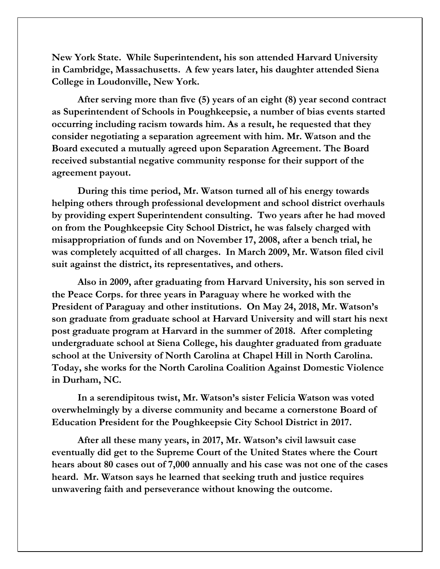**New York State. While Superintendent, his son attended Harvard University in Cambridge, Massachusetts. A few years later, his daughter attended Siena College in Loudonville, New York.**

**After serving more than five (5) years of an eight (8) year second contract as Superintendent of Schools in Poughkeepsie, a number of bias events started occurring including racism towards him. As a result, he requested that they consider negotiating a separation agreement with him. Mr. Watson and the Board executed a mutually agreed upon Separation Agreement. The Board received substantial negative community response for their support of the agreement payout.** 

**During this time period, Mr. Watson turned all of his energy towards helping others through professional development and school district overhauls by providing expert Superintendent consulting. Two years after he had moved on from the Poughkeepsie City School District, he was falsely charged with misappropriation of funds and on November 17, 2008, after a bench trial, he was completely acquitted of all charges. In March 2009, Mr. Watson filed civil suit against the district, its representatives, and others.** 

**Also in 2009, after graduating from Harvard University, his son served in the Peace Corps. for three years in Paraguay where he worked with the President of Paraguay and other institutions. On May 24, 2018, Mr. Watson's son graduate from graduate school at Harvard University and will start his next post graduate program at Harvard in the summer of 2018. After completing undergraduate school at Siena College, his daughter graduated from graduate school at the University of North Carolina at Chapel Hill in North Carolina. Today, she works for the North Carolina Coalition Against Domestic Violence in Durham, NC.**

**In a serendipitous twist, Mr. Watson's sister Felicia Watson was voted overwhelmingly by a diverse community and became a cornerstone Board of Education President for the Poughkeepsie City School District in 2017.** 

**After all these many years, in 2017, Mr. Watson's civil lawsuit case eventually did get to the Supreme Court of the United States where the Court hears about 80 cases out of 7,000 annually and his case was not one of the cases heard. Mr. Watson says he learned that seeking truth and justice requires unwavering faith and perseverance without knowing the outcome.**